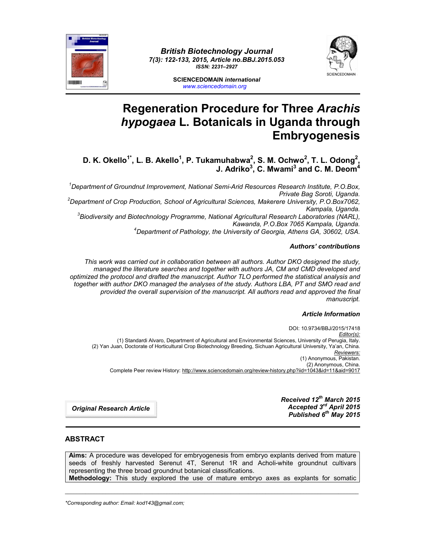

*British Biotechnology Journal 7(3): 122-133, 2015, Article no.BBJ.2015.053 ISSN: 2231–2927*



**SCIENCEDOMAIN** *international www.sciencedomain.org*

# **Regeneration Procedure for Three** *Arachis hypogaea* **L. Botanicals in Uganda through Embryogenesis**

**D. K. Okello1\*, L. B. Akello1 , P. Tukamuhabwa2 , S. M. Ochwo<sup>2</sup> , T. L. Odong2 , J. Adriko3 , C. Mwami<sup>3</sup> and C. M. Deom4**

*1 Department of Groundnut Improvement, National Semi-Arid Resources Research Institute, P.O.Box, Private Bag Soroti, Uganda. <sup>2</sup> Department of Crop Production, School of Agricultural Sciences, Makerere University, P.O.Box7062, Kampala, Uganda. <sup>3</sup> Biodiversity and Biotechnology Programme, National Agricultural Research Laboratories (NARL),*

*Kawanda, P.O.Box 7065 Kampala, Uganda. <sup>4</sup> Department of Pathology, the University of Georgia, Athens GA, 30602, USA.*

#### *Authors' contributions*

*This work was carried out in collaboration between all authors. Author DKO designed the study, managed the literature searches and together with authors JA, CM and CMD developed and optimized the protocol and drafted the manuscript. Author TLO performed the statistical analysis and together with author DKO managed the analyses of the study. Authors LBA, PT and SMO read and provided the overall supervision of the manuscript. All authors read and approved the final manuscript.*

#### *Article Information*

DOI: 10.9734/BBJ/2015/17418 *Editor(s):* (1) Standardi Alvaro, Department of Agricultural and Environmental Sciences, University of Perugia, Italy. (2) Yan Juan, Doctorate of Horticultural Crop Biotechnology Breeding, Sichuan Agricultural University, Ya'an, China. *Reviewers:* (1) Anonymous, Pakistan. (2) Anonymous, China. Complete Peer review History: http://www.sciencedomain.org/review-history.php?iid=1043&id=11&aid=9017

> *Received 12th March 2015 Accepted 3rd April 2015 Published 6th May 2015*

*Original Research Article*

### **ABSTRACT**

**Aims:** A procedure was developed for embryogenesis from embryo explants derived from mature seeds of freshly harvested Serenut 4T, Serenut 1R and Acholi-white groundnut cultivars representing the three broad groundnut botanical classifications. **Methodology:** This study explored the use of mature embryo axes as explants for somatic

\_\_\_\_\_\_\_\_\_\_\_\_\_\_\_\_\_\_\_\_\_\_\_\_\_\_\_\_\_\_\_\_\_\_\_\_\_\_\_\_\_\_\_\_\_\_\_\_\_\_\_\_\_\_\_\_\_\_\_\_\_\_\_\_\_\_\_\_\_\_\_\_\_\_\_\_\_\_\_\_\_\_\_\_\_\_\_\_\_\_\_\_\_\_\_\_\_\_\_\_\_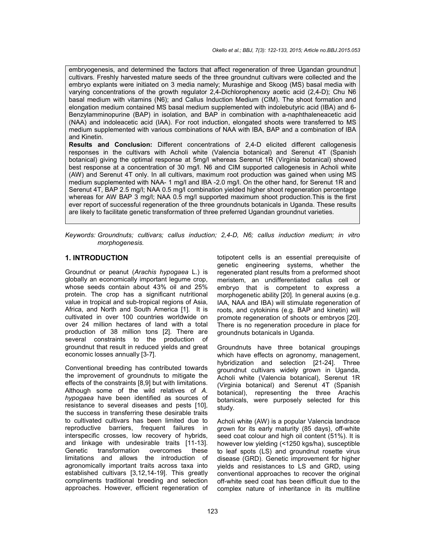embryogenesis, and determined the factors that affect regeneration of three Ugandan groundnut cultivars. Freshly harvested mature seeds of the three groundnut cultivars were collected and the embryo explants were initiated on 3 media namely; Murashige and Skoog (MS) basal media with varying concentrations of the growth regulator 2,4-Dichlorophenoxy acetic acid (2,4-D); Chu N6 basal medium with vitamins (N6); and Callus Induction Medium (CIM). The shoot formation and elongation medium contained MS basal medium supplemented with indolebutyric acid (IBA) and 6- Benzylamminopurine (BAP) in isolation, and BAP in combination with a-naphthaleneacetic acid (NAA) and indoleacetic acid (IAA). For root induction, elongated shoots were transferred to MS medium supplemented with various combinations of NAA with IBA, BAP and a combination of IBA and Kinetin.

**Results and Conclusion:** Different concentrations of 2,4-D elicited different callogenesis responses in the cultivars with Acholi white (Valencia botanical) and Serenut 4T (Spanish botanical) giving the optimal response at 5mg/l whereas Serenut 1R (Virginia botanical) showed best response at a concentration of 30 mg/l. N6 and CIM supported callogenesis in Acholi white (AW) and Serenut 4T only. In all cultivars, maximum root production was gained when using MS medium supplemented with NAA- 1 mg/l and IBA -2.0 mg/l. On the other hand, for Serenut 1R and Serenut 4T, BAP 2.5 mg/l; NAA 0.5 mg/l combination yielded higher shoot regeneration percentage whereas for AW BAP 3 mg/l; NAA 0.5 mg/l supported maximum shoot production.This is the first ever report of successful regeneration of the three groundnuts botanicals in Uganda. These results are likely to facilitate genetic transformation of three preferred Ugandan groundnut varieties.

*Keywords: Groundnuts; cultivars; callus induction; 2,4-D, N6; callus induction medium; in vitro morphogenesis.*

#### **1. INTRODUCTION**

Groundnut or peanut (*Arachis hypogaea* L.) is globally an economically important legume crop, whose seeds contain about 43% oil and 25% protein. The crop has a significant nutritional value in tropical and sub-tropical regions of Asia, Africa, and North and South America [1]. It is cultivated in over 100 countries worldwide on over 24 million hectares of land with a total production of 38 million tons [2]. There are several constraints to the production of groundnut that result in reduced yields and great economic losses annually [3-7].

Conventional breeding has contributed towards the improvement of groundnuts to mitigate the effects of the constraints [8,9] but with limitations. Although some of the wild relatives of *A. hypogaea* have been identified as sources of resistance to several diseases and pests [10], the success in transferring these desirable traits to cultivated cultivars has been limited due to reproductive barriers, frequent failures in interspecific crosses, low recovery of hybrids, and linkage with undesirable traits [11-13]. Genetic transformation overcomes these limitations and allows the introduction of agronomically important traits across taxa into established cultivars [3,12,14-19]. This greatly compliments traditional breeding and selection approaches. However, efficient regeneration of

totipotent cells is an essential prerequisite of genetic engineering systems, whether the regenerated plant results from a preformed shoot meristem, an undifferentiated callus cell or embryo that is competent to express a morphogenetic ability [20]. In general auxins (e.g. IAA, NAA and IBA) will stimulate regeneration of roots, and cytokinins (e.g. BAP and kinetin) will promote regeneration of shoots or embryos [20]. There is no regeneration procedure in place for groundnuts botanicals in Uganda.

Groundnuts have three botanical groupings which have effects on agronomy, management, hybridization and selection [21-24]. Three groundnut cultivars widely grown in Uganda, Acholi white (Valencia botanical), Serenut 1R (Virginia botanical) and Serenut 4T (Spanish botanical), representing the three Arachis botanicals, were purposely selected for this study.

Acholi white (AW) is a popular Valencia landrace grown for its early maturity (85 days), off-white seed coat colour and high oil content (51%). It is however low yielding (<1250 kgs/ha), susceptible to leaf spots (LS) and groundnut rosette virus disease (GRD). Genetic improvement for higher yields and resistances to LS and GRD, using conventional approaches to recover the original off-white seed coat has been difficult due to the complex nature of inheritance in its multiline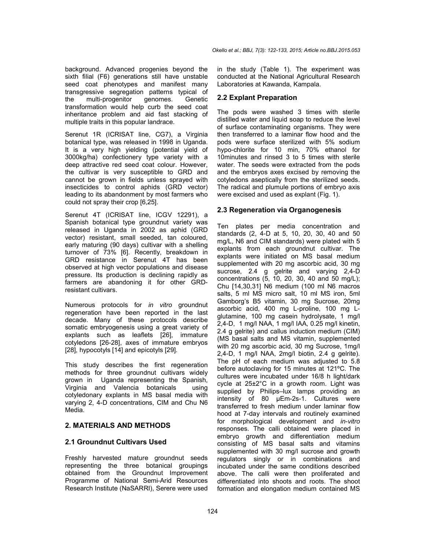background. Advanced progenies beyond the sixth filial (F6) generations still have unstable seed coat phenotypes and manifest many transgressive segregation patterns typical of<br>the multi-progenitor genomes. Genetic the multi-progenitor genomes. Genetic transformation would help curb the seed coat inheritance problem and aid fast stacking of multiple traits in this popular landrace.

Serenut 1R (ICRISAT line, CG7), a Virginia botanical type, was released in 1998 in Uganda. It is a very high yielding (potential yield of 3000kg/ha) confectionery type variety with a deep attractive red seed coat colour. However, the cultivar is very susceptible to GRD and cannot be grown in fields unless sprayed with insecticides to control aphids (GRD vector) leading to its abandonment by most farmers who could not spray their crop [6,25].

Serenut 4T (ICRISAT line, ICGV 12291), a Spanish botanical type groundnut variety was released in Uganda in 2002 as aphid (GRD vector) resistant, small seeded, tan coloured, early maturing (90 days) cultivar with a shelling turnover of 73% [6]. Recently, breakdown in GRD resistance in Serenut 4T has been observed at high vector populations and disease pressure. Its production is declining rapidly as farmers are abandoning it for other GRDresistant cultivars.

Numerous protocols for *in vitro* groundnut regeneration have been reported in the last decade. Many of these protocols describe somatic embryogenesis using a great variety of explants such as leaflets [26], immature cotyledons [26-28], axes of immature embryos [28], hypocotyls [14] and epicotyls [29].

This study describes the first regeneration methods for three groundnut cultivars widely grown in Uganda representing the Spanish, Virginia and Valencia botanicals using cotyledonary explants in MS basal media with varying 2, 4-D concentrations, CIM and Chu N6 Media.

#### **2. MATERIALS AND METHODS**

#### **2.1 Groundnut Cultivars Used**

Freshly harvested mature groundnut seeds representing the three botanical groupings obtained from the Groundnut Improvement Programme of National Semi-Arid Resources Research Institute (NaSARRI), Serere were used

in the study (Table 1). The experiment was conducted at the National Agricultural Research Laboratories at Kawanda, Kampala.

### **2.2 Explant Preparation**

The pods were washed 3 times with sterile distilled water and liquid soap to reduce the level of surface contaminating organisms. They were then transferred to a laminar flow hood and the pods were surface sterilized with 5% sodium hypo-chlorite for 10 min, 70% ethanol for 10minutes and rinsed 3 to 5 times with sterile water. The seeds were extracted from the pods and the embryos axes excised by removing the cotyledons aseptically from the sterilized seeds. The radical and plumule portions of embryo axis were excised and used as explant (Fig. 1).

### **2.3 Regeneration via Organogenesis**

Ten plates per media concentration and standards (2, 4-D at 5, 10, 20, 30, 40 and 50 mg/L, N6 and CIM standards) were plated with 5 explants from each groundnut cultivar. The explants were initiated on MS basal medium supplemented with 20 mg ascorbic acid, 30 mg sucrose, 2.4 g gelrite and varying 2,4-D concentrations (5, 10, 20, 30, 40 and 50 mg/L); Chu [14,30,31] N6 medium (100 ml N6 macros salts, 5 ml MS micro salt, 10 ml MS iron, 5ml Gamborg's B5 vitamin, 30 mg Sucrose, 20mg ascorbic acid, 400 mg L-proline, 100 mg Lglutamine, 100 mg casein hydrolysate, 1 mg/l 2,4-D, 1 mg/l NAA, 1 mg/l IAA, 0.25 mg/l kinetin, 2.4 g gelrite) and callus induction medium (CIM) (MS basal salts and MS vitamin, supplemented with 20 mg ascorbic acid, 30 mg Sucrose, 1mg/l 2,4-D, 1 mg/l NAA, 2mg/l biotin, 2.4 g gelrite). The pH of each medium was adjusted to 5.8 before autoclaving for 15 minutes at 121ºC. The cultures were incubated under 16/8 h light/dark cycle at 25±2°C in a growth room. Light was supplied by Philips–lux lamps providing an intensity of 80 µEm-2s-1. Cultures were transferred to fresh medium under laminar flow hood at 7-day intervals and routinely examined for morphological development and *in-vitro* responses. The calli obtained were placed in embryo growth and differentiation medium consisting of MS basal salts and vitamins supplemented with 30 mg/l sucrose and growth regulators singly or in combinations and incubated under the same conditions described above. The calli were then proliferated and differentiated into shoots and roots. The shoot formation and elongation medium contained MS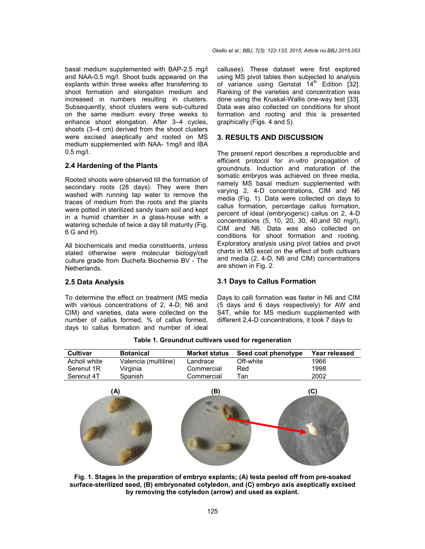basal medium supplemented with BAP-2.5 mg/l and NAA-0.5 mg/l. Shoot buds appeared on the explants within three weeks after transferring to shoot formation and elongation medium and increased in numbers resulting in clusters. Subsequently, shoot clusters were sub-cultured on the same medium every three weeks to enhance shoot elongation. After 3–4 cycles, shoots (3–4 cm) derived from the shoot clusters were excised aseptically and rooted on MS medium supplemented with NAA- 1mg/l and IBA 0.5 mg/l.

### **2.4 Hardening of the Plants**

Rooted shoots were observed till the formation of secondary roots (28 days). They were then washed with running tap water to remove the traces of medium from the roots and the plants were potted in sterilized sandy loam soil and kept in a humid chamber in a glass-house with a watering schedule of twice a day till maturity (Fig. 6 G and H).

All biochemicals and media constituents, unless stated otherwise were molecular biology/cell culture grade from Duchefa Biochemie BV - The Netherlands.

calluses). These dataset were first explored using MS pivot tables then subjected to analysis of variance using Genstat  $14<sup>th</sup>$  Edition [32]. Ranking of the varieties and concentration was done using the Kruskal-Wallis one-way test [33]. Data was also collected on conditions for shoot formation and rooting and this is presented graphically (Figs. 4 and 5).

#### **3. RESULTS AND DISCUSSION**

The present report describes a reproducible and efficient protocol for *in-vitro* propagation of groundnuts. Induction and maturation of the somatic embryos was achieved on three media, namely MS basal medium supplemented with varying 2, 4-D concentrations, CIM and N6 media (Fig. 1). Data were collected on days to callus formation, percentage callus formation, percent of ideal (embryogenic) callus on 2, 4-D concentrations (5, 10, 20, 30, 40,and 50 mg/l), CIM and N6. Data was also collected on conditions for shoot formation and rooting. Exploratory analysis using pivot tables and pivot charts in MS excel on the effect of both cultivars and media (2, 4-D, N6 and CIM) concentrations are shown in Fig. 2.

#### **2.5 Data Analysis**

To determine the effect on treatment (MS media with various concentrations of 2, 4-D; N6 and CIM) and varieties, data were collected on the number of callus formed, % of callus formed, days to callus formation and number of ideal Days to calli formation was faster in N6 and CIM (5 days and 6 days respectively) for AW and S4T, while for MS medium supplemented with different 2,4-D concentrations, it took 7 days to

**3.1 Days to Callus Formation**

| <b>Cultivar</b> | <b>Botanical</b>     | <b>Market status</b> | Seed coat phenotype | Year released |
|-----------------|----------------------|----------------------|---------------------|---------------|
| Acholi white    | Valencia (multiline) | Landrace             | Off-white           | 1966          |
| Serenut 1R      | Virginia             | Commercial           | <b>Red</b>          | 1998          |
| Serenut 4T      | Spanish              | Commercial           | Tan                 | 2002          |

**Table 1. Groundnut cultivars used for regeneration**



**Fig. 1. Stages in the preparation of embryo explants; (A) testa peeled off from pre-soaked surface-sterilized seed, (B) embryonated cotyledon, and (C) embryo axis aseptically excised by removing the cotyledon (arrow) and used as explant.**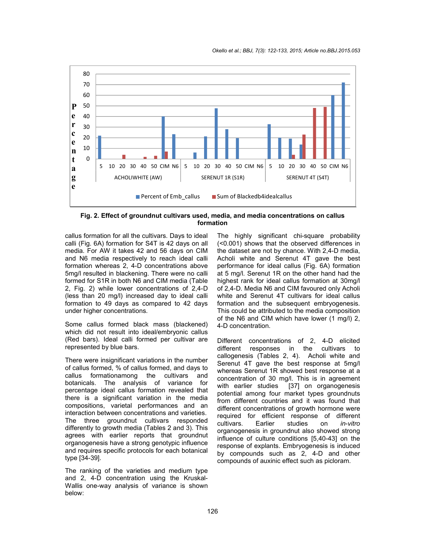

**Fig. 2. Effect of groundnut cultivars used, media, and media concentrations on callus formation**

callus formation for all the cultivars. Days to ideal calli (Fig. 6A) formation for S4T is 42 days on all media. For AW it takes 42 and 56 days on CIM and N6 media respectively to reach ideal calli formation whereas 2, 4-D concentrations above 5mg/l resulted in blackening. There were no calli formed for S1R in both N6 and CIM media (Table 2, Fig. 2) while lower concentrations of 2,4-D (less than 20 mg/l) increased day to ideal calli formation to 49 days as compared to 42 days under higher concentrations.

Some callus formed black mass (blackened) which did not result into ideal/embryonic callus (Red bars). Ideal calli formed per cultivar are represented by blue bars.

There were insignificant variations in the number of callus formed, % of callus formed, and days to callus formationamong the cultivars and botanicals. The analysis of variance for percentage ideal callus formation revealed that there is a significant variation in the media compositions, varietal performances and an interaction between concentrations and varieties. The three groundnut cultivars responded differently to growth media (Tables 2 and 3). This agrees with earlier reports that groundnut organogenesis have a strong genotypic influence and requires specific protocols for each botanical type [34-39].

The ranking of the varieties and medium type and 2, 4-D concentration using the Kruskal-Wallis one-way analysis of variance is shown below:

The highly significant chi-square probability (<0.001) shows that the observed differences in the dataset are not by chance. With 2,4-D media, Acholi white and Serenut 4T gave the best performance for ideal callus (Fig. 6A) formation at 5 mg/l. Serenut 1R on the other hand had the highest rank for ideal callus formation at 30mg/l of 2,4-D. Media N6 and CIM favoured only Acholi white and Serenut 4T cultivars for ideal callus formation and the subsequent embryogenesis. This could be attributed to the media composition of the N6 and CIM which have lower (1 mg/l) 2, 4-D concentration.

Different concentrations of 2, 4-D elicited different responses in the cultivars to callogenesis (Tables 2, 4). Acholi white and Serenut 4T gave the best response at 5mg/l whereas Serenut 1R showed best response at a concentration of 30 mg/l. This is in agreement with earlier studies [37] on organogenesis potential among four market types groundnuts from different countries and it was found that different concentrations of growth hormone were required for efficient response of different<br>cultivars. Earlier studies on *in-vitro* cultivars. Earlier studies on *in*-*vitro* organogenesis in groundnut also showed strong influence of culture conditions [5,40-43] on the response of explants. Embryogenesis is induced by compounds such as 2, 4-D and other compounds of auxinic effect such as picloram.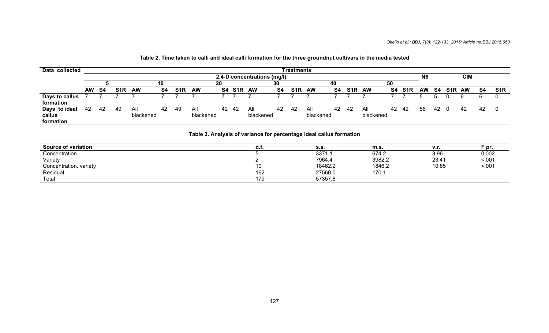| Data collected                       |                                                             |     |     |                  |    |                  |                  |    |       |                  |    | Treatments       |                  |    |                  |                  |    |            |    |    |                  |           |    |                  |
|--------------------------------------|-------------------------------------------------------------|-----|-----|------------------|----|------------------|------------------|----|-------|------------------|----|------------------|------------------|----|------------------|------------------|----|------------|----|----|------------------|-----------|----|------------------|
|                                      | <b>CIM</b><br>N <sub>6</sub><br>2,4-D concentrations (mg/l) |     |     |                  |    |                  |                  |    |       |                  |    |                  |                  |    |                  |                  |    |            |    |    |                  |           |    |                  |
|                                      |                                                             |     |     |                  | 10 |                  | 20               |    |       |                  | 30 |                  |                  | 40 |                  |                  | 50 |            |    |    |                  |           |    |                  |
|                                      | <b>AW</b>                                                   | -S4 | S1R | AW               | S4 | S <sub>1</sub> R | <b>AW</b>        | S4 | S1R   | <b>AW</b>        | S4 | S <sub>1</sub> R | <b>AW</b>        | S4 | S <sub>1</sub> R | <b>AW</b>        | S4 | <b>S1R</b> | AW | S4 | S <sub>1</sub> R | <b>AW</b> | S4 | S <sub>1</sub> R |
| Days to callus<br>formation          |                                                             |     |     |                  |    |                  |                  |    |       |                  |    |                  |                  |    |                  |                  |    |            |    |    |                  |           |    |                  |
| Days to ideal<br>callus<br>formation | -42                                                         | 42  | 49  | All<br>blackened | 42 | 49               | All<br>blackened |    | 42 42 | All<br>blackened | 42 | -42              | All<br>blackened | 42 | -42              | All<br>blackened | 42 | -42        | 56 | 42 |                  | 42        | 42 |                  |

# Table 2. Time taken to calli and ideal calli formation for the three groundnut cultivars in the media tested

# **Table 3. Analysis of variance for percentage ideal callus formation**

| <b>Source of variation</b> | а.т. | <b>S.S.</b> | m.s.   | v.r.  | - pr. |
|----------------------------|------|-------------|--------|-------|-------|
| Concentration              |      | 3371.1      | 674.2  | 3.96  | 0.002 |
| Variety                    |      | 7964.4      | 3982.2 | 23.41 | < 001 |
| Concentration. variety     | ι∪   | 18462.2     | 1846.2 | 10.85 | 5.001 |
| Residual                   | 162  | 27560.0     | 170.1  |       |       |
| Total                      | 179  | 57357.8     |        |       |       |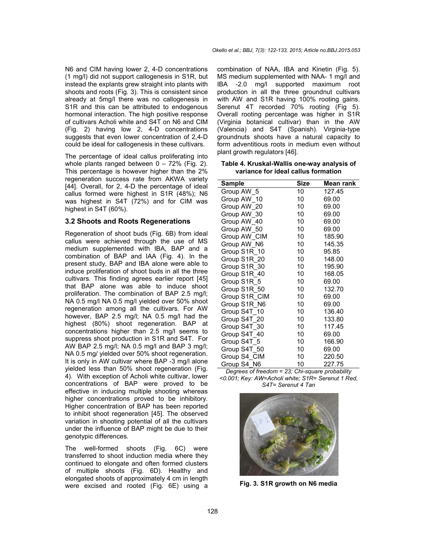N6 and CIM having lower 2, 4-D concentrations (1 mg/l) did not support callogenesis in S1R, but instead the explants grew straight into plants with shoots and roots (Fig. 3). This is consistent since already at 5mg/l there was no callogenesis in S1R and this can be attributed to endogenous hormonal interaction. The high positive response of cultivars Acholi white and S4T on N6 and CIM (Fig. 2) having low 2, 4-D concentrations suggests that even lower concentration of 2,4-D could be ideal for callogenesis in these cultivars.

The percentage of ideal callus proliferating into whole plants ranged between  $0 - 72%$  (Fig. 2). This percentage is however higher than the 2% regeneration success rate from AKWA variety [44]. Overall, for 2, 4-D the percentage of ideal callus formed were highest in S1R (48%); N6 was highest in S4T (72%) and for CIM was highest in S4T (60%).

#### **3.2 Shoots and Roots Regenerations**

Regeneration of shoot buds (Fig. 6B) from ideal callus were achieved through the use of MS medium supplemented with IBA, BAP and a combination of BAP and IAA (Fig. 4). In the present study, BAP and IBA alone were able to induce proliferation of shoot buds in all the three cultivars. This finding agrees earlier report [45] that BAP alone was able to induce shoot proliferation. The combination of BAP 2.5 mg/l; NA 0.5 mg/l NA 0.5 mg/l yielded over 50% shoot regeneration among all the cultivars. For AW however, BAP 2.5 mg/l; NA 0.5 mg/l had the highest (80%) shoot regeneration. BAP at concentrations higher than 2.5 mg/l seems to suppress shoot production in S1R and S4T. For AW BAP 2.5 mg/l; NA 0.5 mg/l and BAP 3 mg/l; NA 0.5 mg/ yielded over 50% shoot regeneration. It is only in AW cultivar where BAP -3 mg/l alone yielded less than 50% shoot regeneration (Fig. 4). With exception of Acholi white cultivar, lower concentrations of BAP were proved to be effective in inducing multiple shooting whereas higher concentrations proved to be inhibitory. Higher concentration of BAP has been reported to inhibit shoot regeneration [45]. The observed variation in shooting potential of all the cultivars under the influence of BAP might be due to their genotypic differences.

The well-formed shoots (Fig. 6C) were transferred to shoot induction media where they continued to elongate and often formed clusters of multiple shoots (Fig. 6D). Healthy and elongated shoots of approximately 4 cm in length were excised and rooted (Fig. 6E) using a

combination of NAA, IBA and Kinetin (Fig. 5). MS medium supplemented with NAA- 1 mg/l and IBA -2.0 mg/l supported maximum root production in all the three groundnut cultivars with AW and S1R having 100% rooting gains. Serenut 4T recorded 70% rooting (Fig 5). Overall rooting percentage was higher in S1R (Virginia botanical cultivar) than in the AW (Valencia) and S4T (Spanish). Virginia-type groundnuts shoots have a natural capacity to form adventitious roots in medium even without plant growth regulators [46].

**Table 4. Kruskal-Wallis one-way analysis of variance for ideal callus formation**

| Sample        | Size            | Mean rank |
|---------------|-----------------|-----------|
| Group AW 5    | 10              | 127.45    |
| Group AW 10   | 10              | 69.00     |
| Group AW 20   | 10              | 69.00     |
| Group AW 30   | 10              | 69.00     |
| Group AW 40   | 10              | 69.00     |
| Group AW 50   | 10 <sup>1</sup> | 69.00     |
| Group AW_CIM  | 10              | 185.90    |
| Group AW_N6   | 10              | 145.35    |
| Group S1R 10  | 10              | 95.85     |
| Group S1R 20  | 10              | 148.00    |
| Group S1R 30  | 10              | 195.90    |
| Group S1R 40  | 10 <sup>°</sup> | 168.05    |
| Group S1R 5   | 10              | 69.00     |
| Group S1R 50  | 10              | 132.70    |
| Group S1R CIM | 10              | 69.00     |
| Group S1R N6  | 10              | 69.00     |
| Group S4T 10  | 10              | 136.40    |
| Group S4T 20  | 10              | 133.80    |
| Group S4T 30  | 10              | 117.45    |
| Group S4T 40  | 10              | 69.00     |
| Group S4T 5   | 10              | 166.90    |
| Group S4T 50  | 10              | 69.00     |
| Group S4 CIM  | 10              | 220.50    |
| Group S4 N6   | 10              | 227.75    |

*Degrees of freedom = 23; Chi-square probability <0.001; Key: AW=Acholi white; S1R= Serenut 1 Red, S4T= Serenut 4 Tan*



**Fig. 3. S1R growth on N6 media**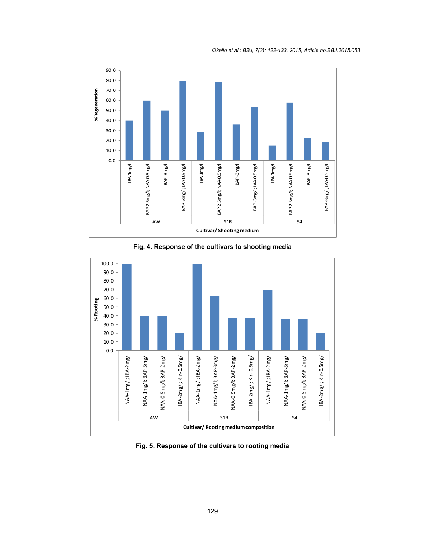

**Fig. 4. Response of the cultivars to shooting media**



**Fig. 5. Response of the cultivars to rooting media**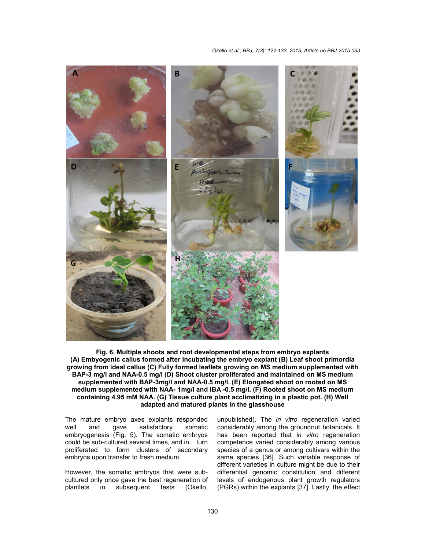#### *Okello et al.; BBJ, 7(3): 122-133, 2015; Article no.BBJ.2015.053 ,*



**Fig. 6. Multiple shoots and root developmental steps from embryo explants steps (A) Embyogenic callus formed after incubating the embryo explant (B) Leaf shoot primordia rootembryoshoot growing from ideal callus (C) Fully formed leaflets g from leafletsgrowing on MS medium supplemented with BAP-3 mg/l and NAA-0.5 mg/l (D) Shoot cluster proliferated and maintained on MS medium supplemented with BAP-3mg/l and NAA Shoot3mg/landNAA-0.5 mg/l. (E) Elongated shoot on rooted on MS medium supplemented with NAA NAA- 1mg/l and IBA -0.5 mg/l. (F) Rooted shoot on MS medium** containing 4.95 mM NAA. (G) Tissue culture plant acclimatizing in a plastic pot. (H) Well<br>adapted and matured plants in the glasshouse **adapted and matured plants in the glasshouse** ) Embyogenic callus formed after incubating the embryo explant (B) Leaf shoot wing from ideal callus (C) Fully formed leaflets growing on MS medium suppler<br>AP-3 mg/l and NAA-0.5 mg/l (D) Shoot cluster proliferated and main

The mature embryo axes explants responded<br>well and qaye satisfactory somatic gave satisfactory embryogenesis (Fig. 5). The somatic embryos could be sub-cultured several times, and in turn proliferated to form clusters of secondary embryos upon transfer to fresh medium. genesis (Fig. 5). The somatic embryos<br>e sub-cultured several times, and in turn<br>ated to form clusters of secondary<br>supon transfer to fresh medium.<br>Pr, the somatic embryos that were sub-

However, the somatic embryos that were sub cultured only once gave the best regeneration of plantlets in subsequent tests (Okello,

ature embryo axes explants responded unpublished). The *in vitro* regeneration varied<br>and gave satisfactory somatic considerably among the groundnut botanicals. It<br>genesis (Fig. 5). The somatic embryos has been reported considerably among the groundnut botanicals. It has been reported that *in vitro* regeneration competence varied considerably among various species of a genus or among cultivars within the same species [36]. Such variable response of different varieties in culture might be due to their differential genomic constitution and different levels of endogenous plant growth regulators (PGRs) within the explants [37]. Lastly, the effect competence varied considerably among various<br>species of a genus or among cultivars within the<br>same species [36]. Such variable response of<br>different varieties in culture might be due to their<br>differential genomic constitut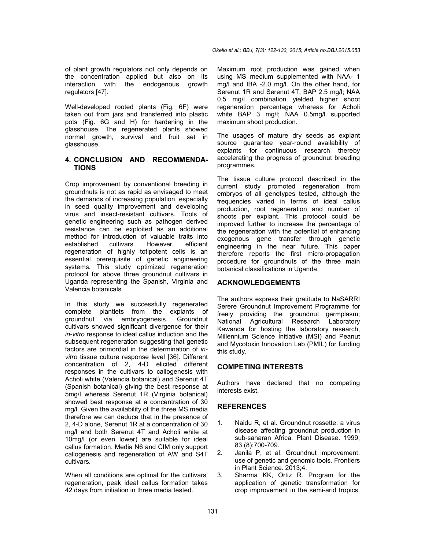of plant growth regulators not only depends on the concentration applied but also on its interaction with the endogenous growth regulators [47].

Well-developed rooted plants (Fig. 6F) were taken out from jars and transferred into plastic pots (Fig. 6G and H) for hardening in the glasshouse. The regenerated plants showed normal growth, survival and fruit set in glasshouse.

#### **4. CONCLUSION AND RECOMMENDA-TIONS**

Crop improvement by conventional breeding in groundnuts is not as rapid as envisaged to meet the demands of increasing population, especially in seed quality improvement and developing virus and insect-resistant cultivars. Tools of genetic engineering such as pathogen derived resistance can be exploited as an additional method for introduction of valuable traits into<br>established cultivars. However. efficient established cultivars. However, efficient regeneration of highly totipotent cells is an essential prerequisite of genetic engineering systems. This study optimized regeneration protocol for above three groundnut cultivars in Uganda representing the Spanish, Virginia and Valencia botanicals.

In this study we successfully regenerated complete plantlets from the explants of groundnut via embryogenesis. Groundnut cultivars showed significant divergence for their *in-vitro* response to ideal callus induction and the subsequent regeneration suggesting that genetic factors are primordial in the determination of *invitro* tissue culture response level [36]. Different concentration of 2, 4-D elicited different responses in the cultivars to callogenesis with Acholi white (Valencia botanical) and Serenut 4T (Spanish botanical) giving the best response at 5mg/l whereas Serenut 1R (Virginia botanical) showed best response at a concentration of 30 mg/l. Given the availability of the three MS media therefore we can deduce that in the presence of 2, 4-D alone, Serenut 1R at a concentration of 30 mg/l and both Serenut 4T and Acholi white at 10mg/l (or even lower) are suitable for ideal callus formation. Media N6 and CIM only support callogenesis and regeneration of AW and S4T cultivars.

When all conditions are optimal for the cultivars' regeneration, peak ideal callus formation takes 42 days from initiation in three media tested.

Maximum root production was gained when using MS medium supplemented with NAA- 1 mg/l and IBA -2.0 mg/l. On the other hand, for Serenut 1R and Serenut 4T, BAP 2.5 mg/l; NAA 0.5 mg/l combination yielded higher shoot regeneration percentage whereas for Acholi white BAP 3 mg/l; NAA 0.5mg/l supported maximum shoot production.

The usages of mature dry seeds as explant source guarantee year-round availability of explants for continuous research thereby accelerating the progress of groundnut breeding programmes.

The tissue culture protocol described in the current study promoted regeneration from embryos of all genotypes tested, although the frequencies varied in terms of ideal callus production, root regeneration and number of shoots per explant. This protocol could be improved further to increase the percentage of the regeneration with the potential of enhancing exogenous gene transfer through genetic engineering in the near future. This paper therefore reports the first micro-propagation procedure for groundnuts of the three main botanical classifications in Uganda.

#### **ACKNOWLEDGEMENTS**

The authors express their gratitude to NaSARRI Serere Groundnut Improvement Programme for freely providing the groundnut germplasm; National Agricultural Research Laboratory Kawanda for hosting the laboratory research, Millennium Science Initiative (MSI) and Peanut and Mycotoxin Innovation Lab (PMIL) for funding this study.

#### **COMPETING INTERESTS**

Authors have declared that no competing interests exist.

#### **REFERENCES**

- 1. Naidu R, et al. Groundnut rossette: a virus disease affecting groundnut production in sub-saharan Africa*.* Plant Disease. 1999; 83 (8):700-709.
- 2. Janila P, et al. Groundnut improvement: use of genetic and genomic tools*.* Frontiers in Plant Science. 2013;4.
- 3. Sharma KK, Ortiz R. Program for the application of genetic transformation for crop improvement in the semi-arid tropics*.*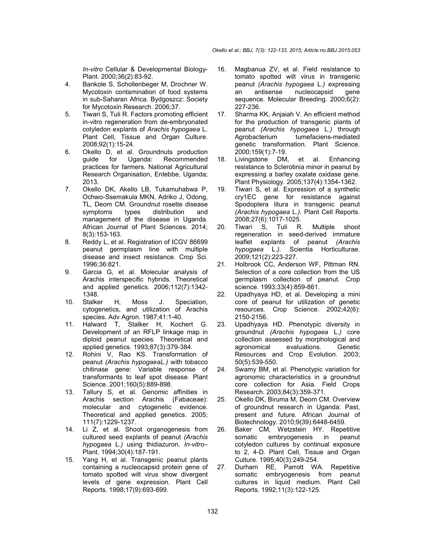*In-vitro* Cellular & Developmental Biology-Plant. 2000;36(2):83-92.

- 4. Bankole S, Schollenbeger M, Drochner W. Mycotoxin contamination of food systems in sub-Saharan Africa*.* Bydgoszcz: Society for Mycotoxin Research. 2006;37.
- 5. Tiwari S, Tuli R. Factors promoting efficient in-vitro regeneration from de-embryonated cotyledon explants of *Arachis hypogaea* L. Plant Cell, Tissue and Organ Culture. 2008;92(1):15-24.
- 6. Okello D, et al. Groundnuts production Recommended practices for farmers*.* National Agricultural Research Organisation, Entebbe, Uganda; 2013.
- 7. Okello DK, Akello LB, Tukamuhabwa P, Ochwo-Ssemakula MKN, Adriko J, Odong, TL, Deom CM. Groundnut rosette disease symptoms types distribution and management of the disease in Uganda*.* African Journal of Plant Sciences. 2014; 8(3):153-163.
- 8. Reddy L, et al. Registration of ICGV 86699 peanut germplasm line with multiple disease and insect resistance*.* Crop Sci. 1996;36:821.
- 9. Garcia G, et al. Molecular analysis of Arachis interspecific hybrids*.* Theoretical and applied genetics. 2006;112(7):1342- 1348.
- 10. Stalker H, Moss J. Speciation, cytogenetics, and utilization of Arachis species*.* Adv Agron. 1987;41:1-40.
- 11. Halward T, Stalker H, Kochert G. Development of an RFLP linkage map in diploid peanut species*.* Theoretical and applied genetics. 1993;87(3):379-384.
- 12. Rohini V, Rao KS. Transformation of peanut *(Arachis hypogaeaL.)* with tobacco chitinase gene: Variable response of transformants to leaf spot disease*.* Plant Science. 2001;160(5):889-898.
- 13. Tallury S, et al. Genomic affinities in Arachis section Arachis (Fabaceae): molecular and cytogenetic evidence*.* Theoretical and applied genetics. 2005; 111(7):1229-1237.
- 14. Li Z, et al. Shoot organogenesis from cultured seed explants of peanut *(Arachis hypogaea* L.*)* using thidiazuron*. In-vitro*– Plant. 1994;30(4):187-191.
- 15. Yang H, et al. Transgenic peanut plants containing a nucleocapsid protein gene of tomato spotted wilt virus show divergent levels of gene expression*.* Plant Cell Reports. 1998;17(9):693-699.
- 16. Magbanua ZV, et al. Field resistance to tomato spotted wilt virus in transgenic peanut *(Arachis hypogaea* L.*)* expressing an antisense nucleocapsid sequence*.* Molecular Breeding. 2000;6(2): 227-236.
- 17. Sharma KK, Anjaiah V. An efficient method for the production of transgenic plants of peanut *(Arachis hypogaea* L.*)* through Agrobacterium tumefaciens-mediated genetic transformation*.* Plant Science. 2000;159(1):7-19.
- 18. Livingstone DM, et al. Enhancing resistance to Sclerotinia minor in peanut by expressing a barley oxalate oxidase gene*.* Plant Physiology. 2005;137(4):1354-1362.
- 19. Tiwari S, et al. Expression of a synthetic cry1EC gene for resistance against Spodoptera litura in transgenic peanut *(Arachis hypogaea* L.*).* Plant Cell Reports. 2008;27(6):1017-1025.
- 20. Tiwari S, Tuli R. Multiple shoot regeneration in seed-derived immature leaflet explants of peanut *(Arachis hypogaea* L.*).* Scientia Horticulturae. 2009;121(2):223-227.
- 21. Holbrook CC, Anderson WF, Pittman RN. Selection of a core collection from the US germplasm collection of peanut*.* Crop science. 1993;33(4):859-861.
- 22. Upadhyaya HD, et al. Developing a mini core of peanut for utilization of genetic resources*.* Crop Science. 2002;42(6): 2150-2156.
- 23. Upadhyaya HD. Phenotypic diversity in groundnut *(Arachis hypogaea* L.*)* core collection assessed by morphological and<br>agronomical evaluations. Genetic agronomical evaluations*.* Genetic Resources and Crop Evolution. 2003; 50(5):539-550.
- 24. Swamy BM, et al. Phenotypic variation for agronomic characteristics in a groundnut core collection for Asia*.* Field Crops Research. 2003;84(3):359-371.
- 25. Okello DK, Biruma M, Deom CM. Overview of groundnut research in Uganda: Past, present and future*.* African Journal of Biotechnology. 2010;9(39):6448-6459.
- 26. Baker CM, Wetzstein HY. Repetitive somatic embryogenesis in peanut cotyledon cultures by continual exposure to 2, 4-D*.* Plant Cell, Tissue and Organ Culture. 1995;40(3):249-254.
- 27. Durham RE, Parrott WA. Repetitive somatic embryogenesis from peanut cultures in liquid medium*.* Plant Cell Reports. 1992;11(3):122-125.